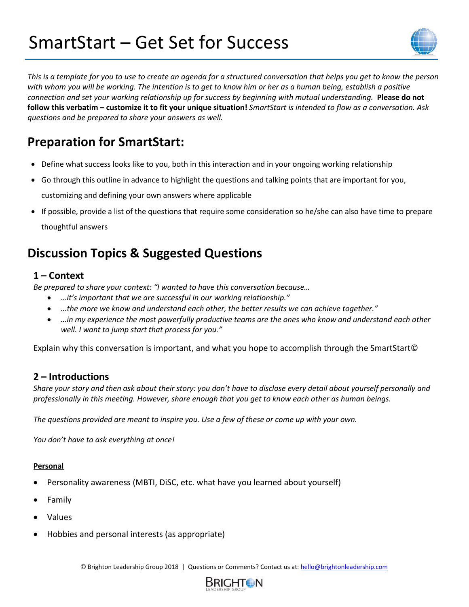# SmartStart – Get Set for Success



*This is a template for you to use to create an agenda for a structured conversation that helps you get to know the person with whom you will be working. The intention is to get to know him or her as a human being, establish a positive connection and set your working relationship up for success by beginning with mutual understanding.* **Please do not follow this verbatim – customize it to fit your unique situation!** *SmartStart is intended to flow as a conversation. Ask questions and be prepared to share your answers as well.*

# **Preparation for SmartStart:**

- Define what success looks like to you, both in this interaction and in your ongoing working relationship
- Go through this outline in advance to highlight the questions and talking points that are important for you, customizing and defining your own answers where applicable
- If possible, provide a list of the questions that require some consideration so he/she can also have time to prepare thoughtful answers

# **Discussion Topics & Suggested Questions**

### **1 – Context**

*Be prepared to share your context: "I wanted to have this conversation because…*

- *…it's important that we are successful in our working relationship."*
- *…the more we know and understand each other, the better results we can achieve together."*
- *…in my experience the most powerfully productive teams are the ones who know and understand each other well. I want to jump start that process for you."*

Explain why this conversation is important, and what you hope to accomplish through the SmartStart©

### **2 – Introductions**

*Share your story and then ask about their story: you don't have to disclose every detail about yourself personally and professionally in this meeting. However, share enough that you get to know each other as human beings.* 

*The questions provided are meant to inspire you. Use a few of these or come up with your own.* 

*You don't have to ask everything at once!*

#### **Personal**

- Personality awareness (MBTI, DiSC, etc. what have you learned about yourself)
- Family
- Values
- Hobbies and personal interests (as appropriate)

© Brighton Leadership Group 2018 | Questions or Comments? Contact us at: [hello@brightonleadership.com](mailto:hello@brightonleadership.com)

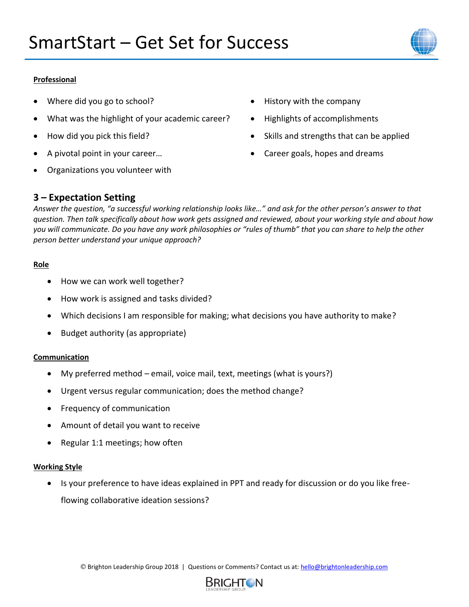

#### **Professional**

- Where did you go to school?
- What was the highlight of your academic career?
- How did you pick this field?
- A pivotal point in your career…
- Organizations you volunteer with
- History with the company
- Highlights of accomplishments
- Skills and strengths that can be applied
- Career goals, hopes and dreams

### **3 – Expectation Setting**

*Answer the question, "a successful working relationship looks like…" and ask for the other person's answer to that question. Then talk specifically about how work gets assigned and reviewed, about your working style and about how you will communicate. Do you have any work philosophies or "rules of thumb" that you can share to help the other person better understand your unique approach?*

#### **Role**

- How we can work well together?
- How work is assigned and tasks divided?
- Which decisions I am responsible for making; what decisions you have authority to make?
- Budget authority (as appropriate)

#### **Communication**

- My preferred method email, voice mail, text, meetings (what is yours?)
- Urgent versus regular communication; does the method change?
- Frequency of communication
- Amount of detail you want to receive
- Regular 1:1 meetings; how often

#### **Working Style**

• Is your preference to have ideas explained in PPT and ready for discussion or do you like freeflowing collaborative ideation sessions?

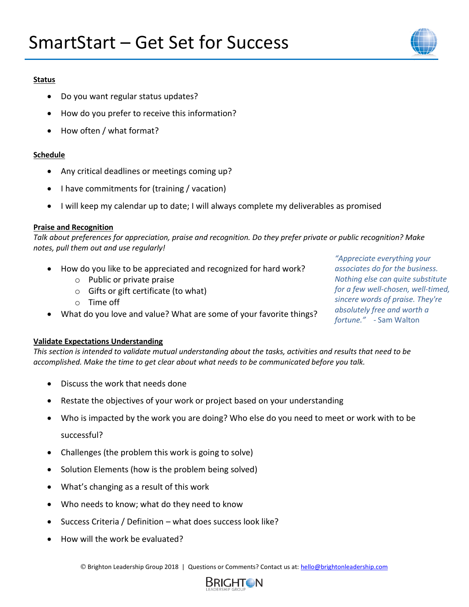

#### **Status**

- Do you want regular status updates?
- How do you prefer to receive this information?
- How often / what format?

#### **Schedule**

- Any critical deadlines or meetings coming up?
- I have commitments for (training / vacation)
- I will keep my calendar up to date; I will always complete my deliverables as promised

#### **Praise and Recognition**

*Talk about preferences for appreciation, praise and recognition. Do they prefer private or public recognition? Make notes, pull them out and use regularly!* 

- How do you like to be appreciated and recognized for hard work?
	- o Public or private praise
	- $\circ$  Gifts or gift certificate (to what)
	- o Time off
- What do you love and value? What are some of your favorite things?

*"Appreciate everything your associates do for the business. Nothing else can quite substitute for a few well-chosen, well-timed, sincere words of praise. They're absolutely free and worth a fortune." -* Sam Walton

#### **Validate Expectations Understanding**

*This section is intended to validate mutual understanding about the tasks, activities and results that need to be accomplished. Make the time to get clear about what needs to be communicated before you talk.*

- Discuss the work that needs done
- Restate the objectives of your work or project based on your understanding
- Who is impacted by the work you are doing? Who else do you need to meet or work with to be successful?
- Challenges (the problem this work is going to solve)
- Solution Elements (how is the problem being solved)
- What's changing as a result of this work
- Who needs to know; what do they need to know
- Success Criteria / Definition what does success look like?
- How will the work be evaluated?

© Brighton Leadership Group 2018 | Questions or Comments? Contact us at: [hello@brightonleadership.com](mailto:hello@brightonleadership.com)